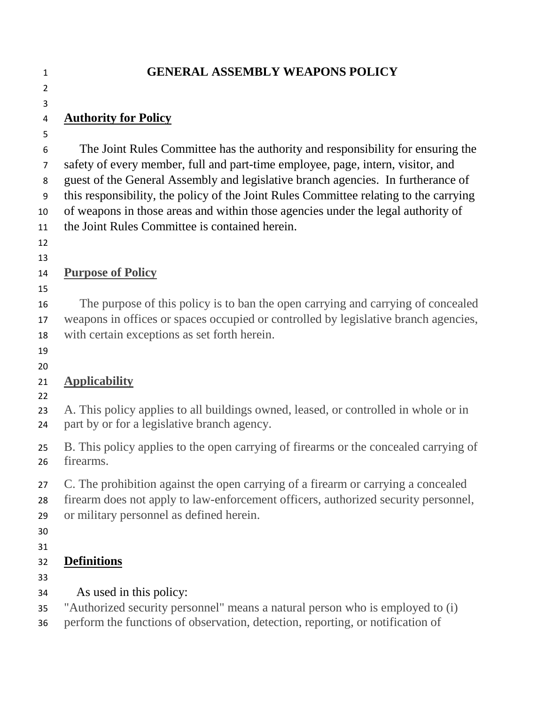#### **GENERAL ASSEMBLY WEAPONS POLICY**

### **Authority for Policy**

 

 The Joint Rules Committee has the authority and responsibility for ensuring the safety of every member, full and part-time employee, page, intern, visitor, and guest of the General Assembly and legislative branch agencies. In furtherance of this responsibility, the policy of the Joint Rules Committee relating to the carrying of weapons in those areas and within those agencies under the legal authority of the Joint Rules Committee is contained herein.

 

## **Purpose of Policy**

 The purpose of this policy is to ban the open carrying and carrying of concealed weapons in offices or spaces occupied or controlled by legislative branch agencies, with certain exceptions as set forth herein.

### 

### **Applicability**

 A. This policy applies to all buildings owned, leased, or controlled in whole or in part by or for a legislative branch agency.

 B. This policy applies to the open carrying of firearms or the concealed carrying of firearms.

C. The prohibition against the open carrying of a firearm or carrying a concealed

- firearm does not apply to law-enforcement officers, authorized security personnel,
- or military personnel as defined herein.
- 
- 

### **Definitions**

- 
- As used in this policy:

"Authorized security personnel" means a natural person who is employed to (i)

perform the functions of observation, detection, reporting, or notification of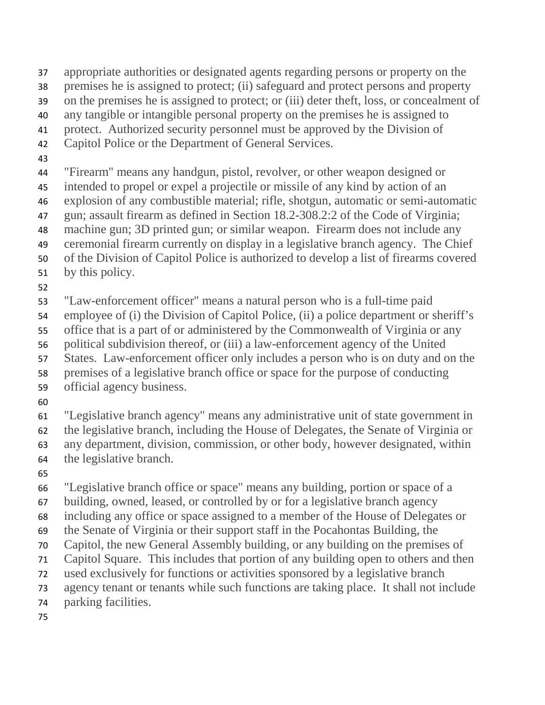- appropriate authorities or designated agents regarding persons or property on the
- premises he is assigned to protect; (ii) safeguard and protect persons and property
- on the premises he is assigned to protect; or (iii) deter theft, loss, or concealment of
- any tangible or intangible personal property on the premises he is assigned to
- protect. Authorized security personnel must be approved by the Division of
- Capitol Police or the Department of General Services.
- 
- "Firearm" means any handgun, pistol, revolver, or other weapon designed or
- intended to propel or expel a projectile or missile of any kind by action of an
- explosion of any combustible material; rifle, shotgun, automatic or semi-automatic
- gun; assault firearm as defined in Section 18.2-308.2:2 of the Code of Virginia;
- machine gun; 3D printed gun; or similar weapon. Firearm does not include any ceremonial firearm currently on display in a legislative branch agency. The Chief
- of the Division of Capitol Police is authorized to develop a list of firearms covered
- by this policy.
- 
- "Law-enforcement officer" means a natural person who is a full-time paid
- employee of (i) the Division of Capitol Police, (ii) a police department or sheriff's
- office that is a part of or administered by the Commonwealth of Virginia or any
- political subdivision thereof, or (iii) a law-enforcement agency of the United
- States. Law-enforcement officer only includes a person who is on duty and on the
- premises of a legislative branch office or space for the purpose of conducting
- official agency business.
- 

 "Legislative branch agency" means any administrative unit of state government in the legislative branch, including the House of Delegates, the Senate of Virginia or any department, division, commission, or other body, however designated, within the legislative branch.

 "Legislative branch office or space" means any building, portion or space of a building, owned, leased, or controlled by or for a legislative branch agency including any office or space assigned to a member of the House of Delegates or the Senate of Virginia or their support staff in the Pocahontas Building, the Capitol, the new General Assembly building, or any building on the premises of Capitol Square. This includes that portion of any building open to others and then used exclusively for functions or activities sponsored by a legislative branch agency tenant or tenants while such functions are taking place. It shall not include parking facilities.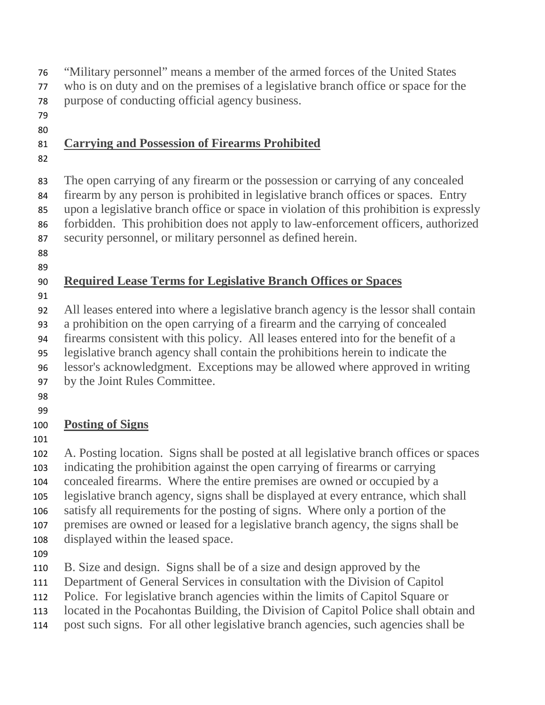- "Military personnel" means a member of the armed forces of the United States
- who is on duty and on the premises of a legislative branch office or space for the
- purpose of conducting official agency business.
- 

### **Carrying and Possession of Firearms Prohibited**

 The open carrying of any firearm or the possession or carrying of any concealed firearm by any person is prohibited in legislative branch offices or spaces. Entry upon a legislative branch office or space in violation of this prohibition is expressly forbidden. This prohibition does not apply to law-enforcement officers, authorized security personnel, or military personnel as defined herein.

 

## **Required Lease Terms for Legislative Branch Offices or Spaces**

All leases entered into where a legislative branch agency is the lessor shall contain

a prohibition on the open carrying of a firearm and the carrying of concealed

 firearms consistent with this policy. All leases entered into for the benefit of a legislative branch agency shall contain the prohibitions herein to indicate the

- lessor's acknowledgment. Exceptions may be allowed where approved in writing
- by the Joint Rules Committee.
- 
- 

## **Posting of Signs**

 A. Posting location. Signs shall be posted at all legislative branch offices or spaces indicating the prohibition against the open carrying of firearms or carrying

 concealed firearms. Where the entire premises are owned or occupied by a legislative branch agency, signs shall be displayed at every entrance, which shall

satisfy all requirements for the posting of signs. Where only a portion of the

premises are owned or leased for a legislative branch agency, the signs shall be

- displayed within the leased space.
- 

B. Size and design. Signs shall be of a size and design approved by the

- Department of General Services in consultation with the Division of Capitol
- Police. For legislative branch agencies within the limits of Capitol Square or
- located in the Pocahontas Building, the Division of Capitol Police shall obtain and
- post such signs. For all other legislative branch agencies, such agencies shall be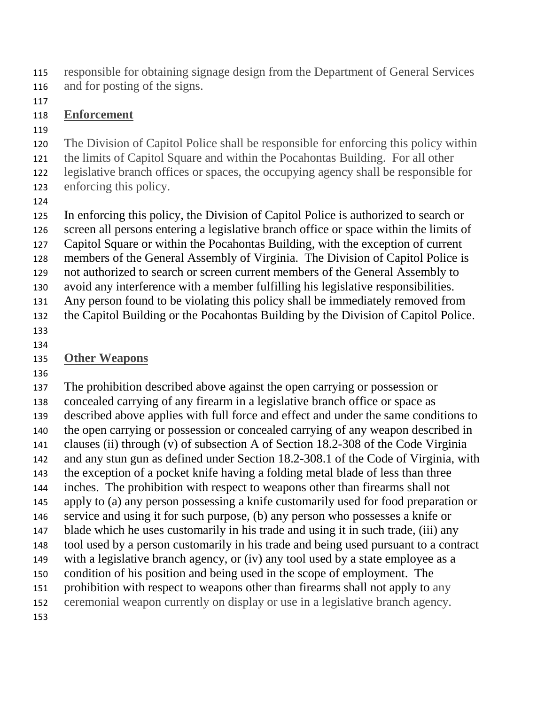- responsible for obtaining signage design from the Department of General Services
- and for posting of the signs.
- 

### **Enforcement**

- 
- The Division of Capitol Police shall be responsible for enforcing this policy within
- the limits of Capitol Square and within the Pocahontas Building. For all other
- legislative branch offices or spaces, the occupying agency shall be responsible for
- enforcing this policy.
- 

 In enforcing this policy, the Division of Capitol Police is authorized to search or screen all persons entering a legislative branch office or space within the limits of Capitol Square or within the Pocahontas Building, with the exception of current members of the General Assembly of Virginia. The Division of Capitol Police is not authorized to search or screen current members of the General Assembly to avoid any interference with a member fulfilling his legislative responsibilities. Any person found to be violating this policy shall be immediately removed from the Capitol Building or the Pocahontas Building by the Division of Capitol Police.

 

# **Other Weapons**

 The prohibition described above against the open carrying or possession or concealed carrying of any firearm in a legislative branch office or space as described above applies with full force and effect and under the same conditions to the open carrying or possession or concealed carrying of any weapon described in clauses (ii) through (v) of subsection A of Section 18.2-308 of the Code Virginia and any stun gun as defined under Section 18.2-308.1 of the Code of Virginia, with the exception of a pocket knife having a folding metal blade of less than three inches. The prohibition with respect to weapons other than firearms shall not apply to (a) any person possessing a knife customarily used for food preparation or service and using it for such purpose, (b) any person who possesses a knife or blade which he uses customarily in his trade and using it in such trade, (iii) any tool used by a person customarily in his trade and being used pursuant to a contract with a legislative branch agency, or (iv) any tool used by a state employee as a condition of his position and being used in the scope of employment. The prohibition with respect to weapons other than firearms shall not apply to any ceremonial weapon currently on display or use in a legislative branch agency.